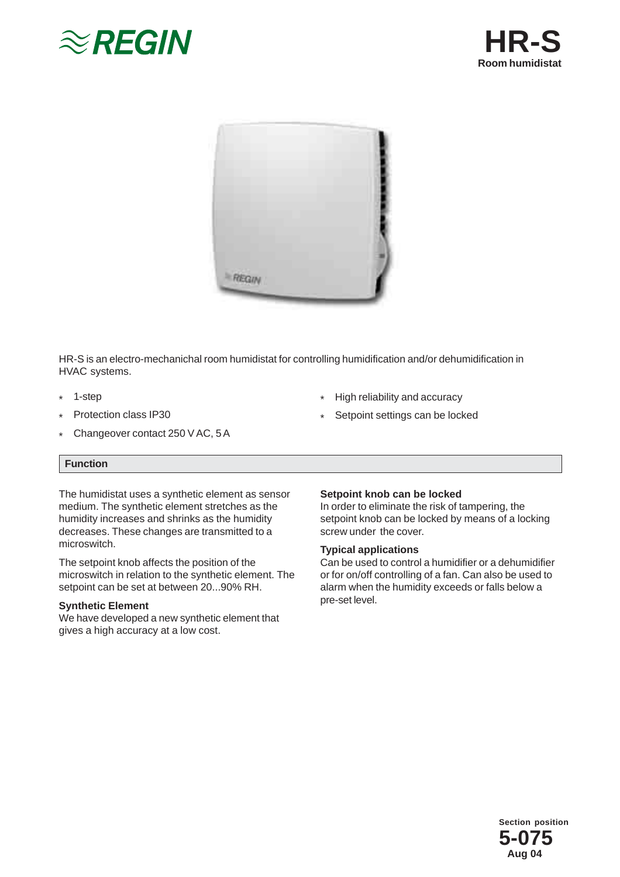





HR-S is an electro-mechanichal room humidistat for controlling humidification and/or dehumidification in HVAC systems.

\*

- 1-step \*
- Protection class IP30 \*
- Changeover contact 250 V AC, 5 A \*

# **Function**

The humidistat uses a synthetic element as sensor medium. The synthetic element stretches as the humidity increases and shrinks as the humidity decreases. These changes are transmitted to a microswitch.

The setpoint knob affects the position of the microswitch in relation to the synthetic element. The setpoint can be set at between 20...90% RH.

### **Synthetic Element**

We have developed a new synthetic element that gives a high accuracy at a low cost.

#### Setpoint settings can be locked \*

High reliability and accuracy

#### **Setpoint knob can be locked**

In order to eliminate the risk of tampering, the setpoint knob can be locked by means of a locking screw under the cover.

### **Typical applications**

Can be used to control a humidifier or a dehumidifier or for on/off controlling of a fan. Can also be used to alarm when the humidity exceeds or falls below a pre-set level.